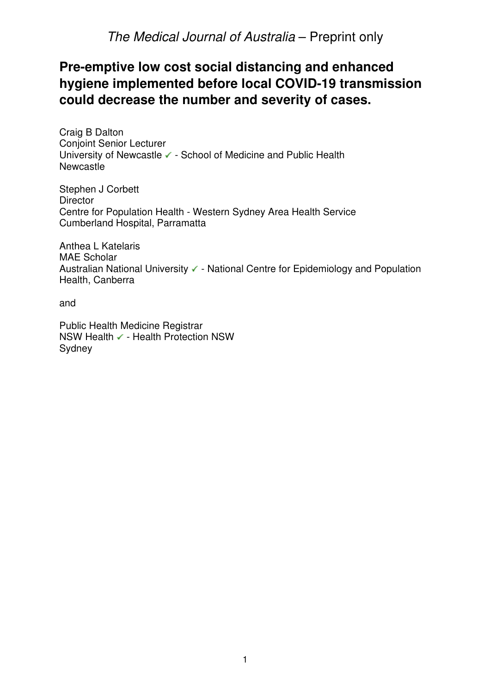## **Pre-emptive low cost social distancing and enhanced hygiene implemented before local COVID-19 transmission could decrease the number and severity of cases.**

Craig B Dalton Conjoint Senior Lecturer University of Newcastle ✔ - School of Medicine and Public Health **Newcastle** 

Stephen J Corbett **Director** Centre for Population Health - Western Sydney Area Health Service Cumberland Hospital, Parramatta

Anthea L Katelaris MAE Scholar Australian National University ✓ - National Centre for Epidemiology and Population Health, Canberra

and

Public Health Medicine Registrar NSW Health ✔ - Health Protection NSW Sydney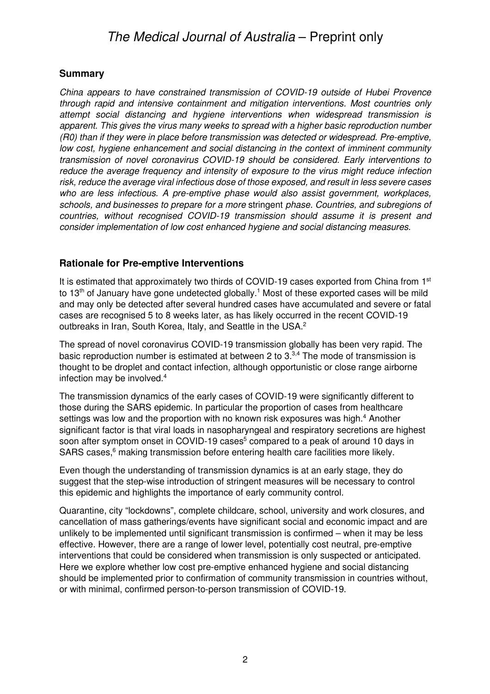## **Summary**

China appears to have constrained transmission of COVID-19 outside of Hubei Provence through rapid and intensive containment and mitigation interventions. Most countries only attempt social distancing and hygiene interventions when widespread transmission is apparent. This gives the virus many weeks to spread with a higher basic reproduction number (R0) than if they were in place before transmission was detected or widespread. Pre-emptive, low cost, hygiene enhancement and social distancing in the context of imminent community transmission of novel coronavirus COVID-19 should be considered. Early interventions to reduce the average frequency and intensity of exposure to the virus might reduce infection risk, reduce the average viral infectious dose of those exposed, and result in less severe cases who are less infectious. A pre-emptive phase would also assist government, workplaces, schools, and businesses to prepare for a more stringent phase. Countries, and subregions of countries, without recognised COVID-19 transmission should assume it is present and consider implementation of low cost enhanced hygiene and social distancing measures.

## **Rationale for Pre-emptive Interventions**

It is estimated that approximately two thirds of COVID-19 cases exported from China from 1<sup>st</sup> to 13<sup>th</sup> of January have gone undetected globally.<sup>1</sup> Most of these exported cases will be mild and may only be detected after several hundred cases have accumulated and severe or fatal cases are recognised 5 to 8 weeks later, as has likely occurred in the recent COVID-19 outbreaks in Iran, South Korea, Italy, and Seattle in the USA.<sup>2</sup>

The spread of novel coronavirus COVID-19 transmission globally has been very rapid. The basic reproduction number is estimated at between 2 to 3.<sup>3,4</sup> The mode of transmission is thought to be droplet and contact infection, although opportunistic or close range airborne infection may be involved.<sup>4</sup>

The transmission dynamics of the early cases of COVID-19 were significantly different to those during the SARS epidemic. In particular the proportion of cases from healthcare settings was low and the proportion with no known risk exposures was high.<sup>4</sup> Another significant factor is that viral loads in nasopharyngeal and respiratory secretions are highest soon after symptom onset in COVID-19 cases<sup>5</sup> compared to a peak of around 10 days in SARS cases,<sup>6</sup> making transmission before entering health care facilities more likely.

Even though the understanding of transmission dynamics is at an early stage, they do suggest that the step-wise introduction of stringent measures will be necessary to control this epidemic and highlights the importance of early community control.

Quarantine, city "lockdowns", complete childcare, school, university and work closures, and cancellation of mass gatherings/events have significant social and economic impact and are unlikely to be implemented until significant transmission is confirmed – when it may be less effective. However, there are a range of lower level, potentially cost neutral, pre-emptive interventions that could be considered when transmission is only suspected or anticipated. Here we explore whether low cost pre-emptive enhanced hygiene and social distancing should be implemented prior to confirmation of community transmission in countries without, or with minimal, confirmed person-to-person transmission of COVID-19.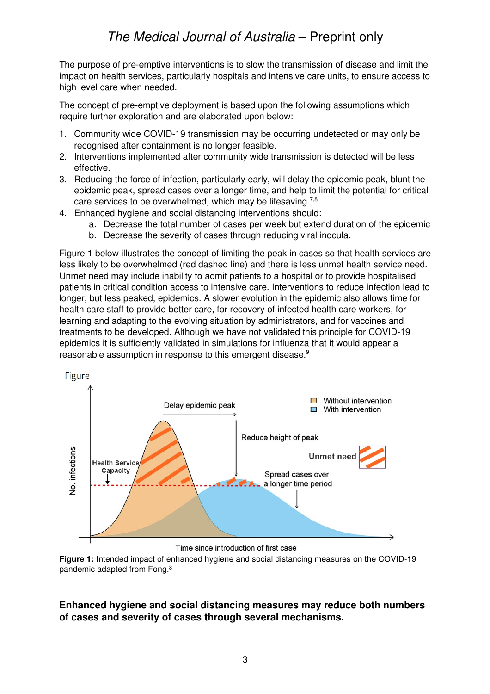The purpose of pre-emptive interventions is to slow the transmission of disease and limit the impact on health services, particularly hospitals and intensive care units, to ensure access to high level care when needed.

The concept of pre-emptive deployment is based upon the following assumptions which require further exploration and are elaborated upon below:

- 1. Community wide COVID-19 transmission may be occurring undetected or may only be recognised after containment is no longer feasible.
- 2. Interventions implemented after community wide transmission is detected will be less effective.
- 3. Reducing the force of infection, particularly early, will delay the epidemic peak, blunt the epidemic peak, spread cases over a longer time, and help to limit the potential for critical care services to be overwhelmed, which may be lifesaving.<sup>7,8</sup>
- 4. Enhanced hygiene and social distancing interventions should:
	- a. Decrease the total number of cases per week but extend duration of the epidemic
	- b. Decrease the severity of cases through reducing viral inocula.

Figure 1 below illustrates the concept of limiting the peak in cases so that health services are less likely to be overwhelmed (red dashed line) and there is less unmet health service need. Unmet need may include inability to admit patients to a hospital or to provide hospitalised patients in critical condition access to intensive care. Interventions to reduce infection lead to longer, but less peaked, epidemics. A slower evolution in the epidemic also allows time for health care staff to provide better care, for recovery of infected health care workers, for learning and adapting to the evolving situation by administrators, and for vaccines and treatments to be developed. Although we have not validated this principle for COVID-19 epidemics it is sufficiently validated in simulations for influenza that it would appear a reasonable assumption in response to this emergent disease.<sup>9</sup>



Time since introduction of first case

**Figure 1:** Intended impact of enhanced hygiene and social distancing measures on the COVID-19 pandemic adapted from Fong.<sup>8</sup>

## **Enhanced hygiene and social distancing measures may reduce both numbers of cases and severity of cases through several mechanisms.**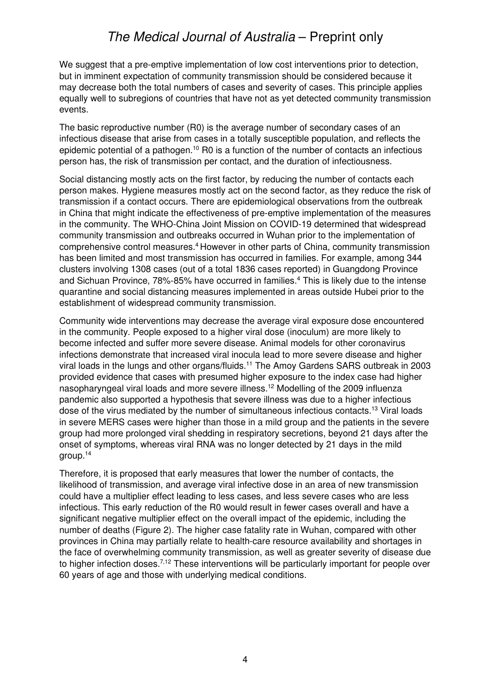We suggest that a pre-emptive implementation of low cost interventions prior to detection, but in imminent expectation of community transmission should be considered because it may decrease both the total numbers of cases and severity of cases. This principle applies equally well to subregions of countries that have not as yet detected community transmission events.

The basic reproductive number (R0) is the average number of secondary cases of an infectious disease that arise from cases in a totally susceptible population, and reflects the epidemic potential of a pathogen.<sup>10</sup> R0 is a function of the number of contacts an infectious person has, the risk of transmission per contact, and the duration of infectiousness.

Social distancing mostly acts on the first factor, by reducing the number of contacts each person makes. Hygiene measures mostly act on the second factor, as they reduce the risk of transmission if a contact occurs. There are epidemiological observations from the outbreak in China that might indicate the effectiveness of pre-emptive implementation of the measures in the community. The WHO-China Joint Mission on COVID-19 determined that widespread community transmission and outbreaks occurred in Wuhan prior to the implementation of comprehensive control measures.<sup>4</sup> However in other parts of China, community transmission has been limited and most transmission has occurred in families. For example, among 344 clusters involving 1308 cases (out of a total 1836 cases reported) in Guangdong Province and Sichuan Province, 78%-85% have occurred in families.<sup>4</sup> This is likely due to the intense quarantine and social distancing measures implemented in areas outside Hubei prior to the establishment of widespread community transmission.

Community wide interventions may decrease the average viral exposure dose encountered in the community. People exposed to a higher viral dose (inoculum) are more likely to become infected and suffer more severe disease. Animal models for other coronavirus infections demonstrate that increased viral inocula lead to more severe disease and higher viral loads in the lungs and other organs/fluids.<sup>11</sup> The Amoy Gardens SARS outbreak in 2003 provided evidence that cases with presumed higher exposure to the index case had higher nasopharyngeal viral loads and more severe illness.<sup>12</sup> Modelling of the 2009 influenza pandemic also supported a hypothesis that severe illness was due to a higher infectious dose of the virus mediated by the number of simultaneous infectious contacts.<sup>13</sup> Viral loads in severe MERS cases were higher than those in a mild group and the patients in the severe group had more prolonged viral shedding in respiratory secretions, beyond 21 days after the onset of symptoms, whereas viral RNA was no longer detected by 21 days in the mild group.<sup>14</sup>

Therefore, it is proposed that early measures that lower the number of contacts, the likelihood of transmission, and average viral infective dose in an area of new transmission could have a multiplier effect leading to less cases, and less severe cases who are less infectious. This early reduction of the R0 would result in fewer cases overall and have a significant negative multiplier effect on the overall impact of the epidemic, including the number of deaths (Figure 2). The higher case fatality rate in Wuhan, compared with other provinces in China may partially relate to health-care resource availability and shortages in the face of overwhelming community transmission, as well as greater severity of disease due to higher infection doses.<sup>7,12</sup> These interventions will be particularly important for people over 60 years of age and those with underlying medical conditions.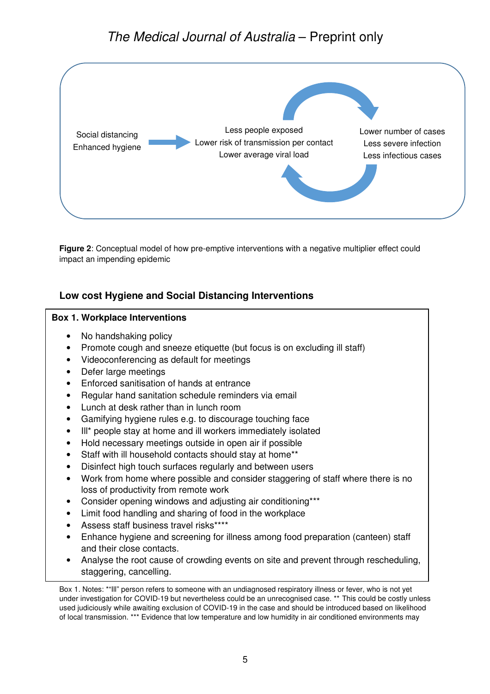

**Figure 2**: Conceptual model of how pre-emptive interventions with a negative multiplier effect could impact an impending epidemic

## **Low cost Hygiene and Social Distancing Interventions**

#### **Box 1. Workplace Interventions**

- No handshaking policy
- Promote cough and sneeze etiquette (but focus is on excluding ill staff)
- Videoconferencing as default for meetings
- Defer large meetings
- Enforced sanitisation of hands at entrance
- Regular hand sanitation schedule reminders via email
- Lunch at desk rather than in lunch room
- Gamifying hygiene rules e.g. to discourage touching face
- Ill\* people stay at home and ill workers immediately isolated
- Hold necessary meetings outside in open air if possible
- Staff with ill household contacts should stay at home\*\*
- Disinfect high touch surfaces regularly and between users
- Work from home where possible and consider staggering of staff where there is no loss of productivity from remote work
- Consider opening windows and adjusting air conditioning\*\*\*
- Limit food handling and sharing of food in the workplace
- Assess staff business travel risks\*\*\*\*
- Enhance hygiene and screening for illness among food preparation (canteen) staff and their close contacts.
- Analyse the root cause of crowding events on site and prevent through rescheduling, staggering, cancelling.

Box 1. Notes: \*"Ill" person refers to someone with an undiagnosed respiratory illness or fever, who is not yet under investigation for COVID-19 but nevertheless could be an unrecognised case. \*\* This could be costly unless used judiciously while awaiting exclusion of COVID-19 in the case and should be introduced based on likelihood of local transmission. \*\*\* Evidence that low temperature and low humidity in air conditioned environments may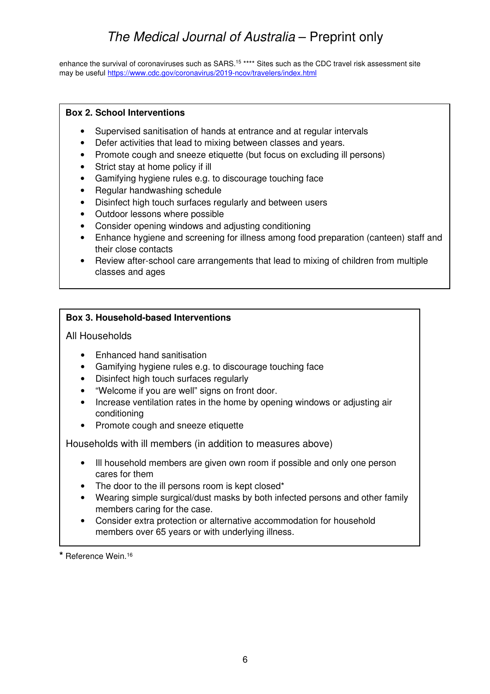enhance the survival of coronaviruses such as SARS.<sup>15</sup> \*\*\*\* Sites such as the CDC travel risk assessment site may be useful https://www.cdc.gov/coronavirus/2019-ncov/travelers/index.html

#### **Box 2. School Interventions**

- Supervised sanitisation of hands at entrance and at regular intervals
- Defer activities that lead to mixing between classes and years.
- Promote cough and sneeze etiquette (but focus on excluding ill persons)
- Strict stay at home policy if ill
- Gamifying hygiene rules e.g. to discourage touching face
- Regular handwashing schedule
- Disinfect high touch surfaces regularly and between users
- Outdoor lessons where possible
- Consider opening windows and adjusting conditioning
- Enhance hygiene and screening for illness among food preparation (canteen) staff and their close contacts
- Review after-school care arrangements that lead to mixing of children from multiple classes and ages

#### **Box 3. Household-based Interventions**

#### All Households

- Enhanced hand sanitisation
- Gamifying hygiene rules e.g. to discourage touching face
- Disinfect high touch surfaces regularly
- "Welcome if you are well" signs on front door.
- Increase ventilation rates in the home by opening windows or adjusting air conditioning
- Promote cough and sneeze etiquette

Households with ill members (in addition to measures above)

- Ill household members are given own room if possible and only one person cares for them
- The door to the ill persons room is kept closed\*
- Wearing simple surgical/dust masks by both infected persons and other family members caring for the case.
- Consider extra protection or alternative accommodation for household members over 65 years or with underlying illness.

**\*** Reference Wein.<sup>16</sup>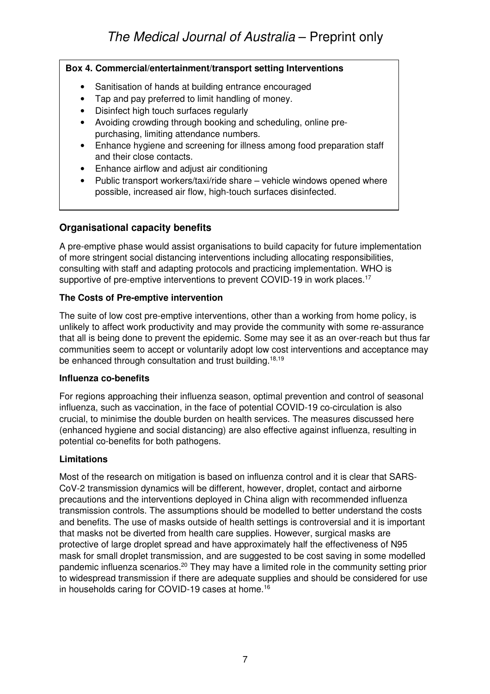### **Box 4. Commercial/entertainment/transport setting Interventions**

- Sanitisation of hands at building entrance encouraged
- Tap and pay preferred to limit handling of money.
- Disinfect high touch surfaces regularly
- Avoiding crowding through booking and scheduling, online prepurchasing, limiting attendance numbers.
- Enhance hygiene and screening for illness among food preparation staff and their close contacts.
- Enhance airflow and adjust air conditioning
- Public transport workers/taxi/ride share vehicle windows opened where possible, increased air flow, high-touch surfaces disinfected.

## **Organisational capacity benefits**

A pre-emptive phase would assist organisations to build capacity for future implementation of more stringent social distancing interventions including allocating responsibilities, consulting with staff and adapting protocols and practicing implementation. WHO is supportive of pre-emptive interventions to prevent COVID-19 in work places.<sup>17</sup>

## **The Costs of Pre-emptive intervention**

The suite of low cost pre-emptive interventions, other than a working from home policy, is unlikely to affect work productivity and may provide the community with some re-assurance that all is being done to prevent the epidemic. Some may see it as an over-reach but thus far communities seem to accept or voluntarily adopt low cost interventions and acceptance may be enhanced through consultation and trust building.<sup>18,19</sup>

## **Influenza co-benefits**

For regions approaching their influenza season, optimal prevention and control of seasonal influenza, such as vaccination, in the face of potential COVID-19 co-circulation is also crucial, to minimise the double burden on health services. The measures discussed here (enhanced hygiene and social distancing) are also effective against influenza, resulting in potential co-benefits for both pathogens.

## **Limitations**

Most of the research on mitigation is based on influenza control and it is clear that SARS-CoV-2 transmission dynamics will be different, however, droplet, contact and airborne precautions and the interventions deployed in China align with recommended influenza transmission controls. The assumptions should be modelled to better understand the costs and benefits. The use of masks outside of health settings is controversial and it is important that masks not be diverted from health care supplies. However, surgical masks are protective of large droplet spread and have approximately half the effectiveness of N95 mask for small droplet transmission, and are suggested to be cost saving in some modelled pandemic influenza scenarios.<sup>20</sup> They may have a limited role in the community setting prior to widespread transmission if there are adequate supplies and should be considered for use in households caring for COVID-19 cases at home.<sup>16</sup>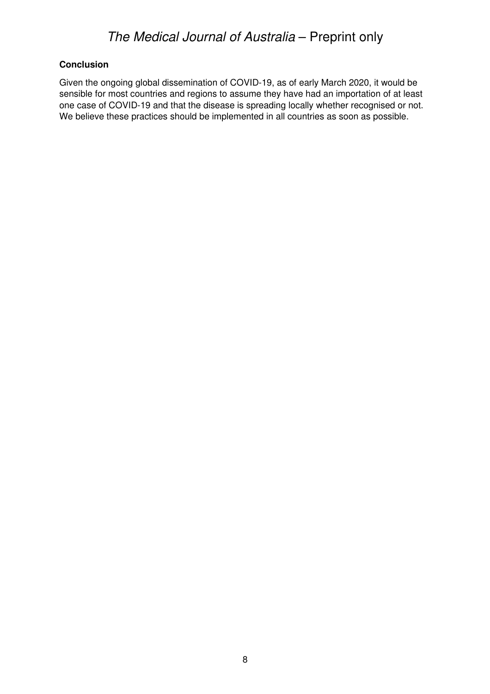#### **Conclusion**

Given the ongoing global dissemination of COVID-19, as of early March 2020, it would be sensible for most countries and regions to assume they have had an importation of at least one case of COVID-19 and that the disease is spreading locally whether recognised or not. We believe these practices should be implemented in all countries as soon as possible.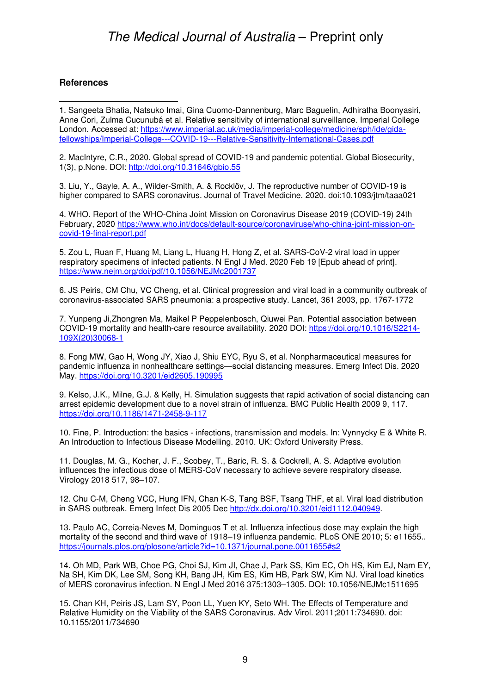#### **References**

1. Sangeeta Bhatia, Natsuko Imai, Gina Cuomo-Dannenburg, Marc Baguelin, Adhiratha Boonyasiri, Anne Cori, Zulma Cucunubá et al. Relative sensitivity of international surveillance. Imperial College London. Accessed at: https://www.imperial.ac.uk/media/imperial-college/medicine/sph/ide/gidafellowships/Imperial-College---COVID-19---Relative-Sensitivity-International-Cases.pdf

2. MacIntyre, C.R., 2020. Global spread of COVID-19 and pandemic potential. Global Biosecurity, 1(3), p.None. DOI: http://doi.org/10.31646/gbio.55

3. Liu, Y., Gayle, A. A., Wilder-Smith, A. & Rocklöv, J. The reproductive number of COVID-19 is higher compared to SARS coronavirus. Journal of Travel Medicine. 2020. doi:10.1093/jtm/taaa021

4. WHO. Report of the WHO-China Joint Mission on Coronavirus Disease 2019 (COVID-19) 24th February, 2020 https://www.who.int/docs/default-source/coronaviruse/who-china-joint-mission-oncovid-19-final-report.pdf

5. Zou L, Ruan F, Huang M, Liang L, Huang H, Hong Z, et al. SARS-CoV-2 viral load in upper respiratory specimens of infected patients. N Engl J Med. 2020 Feb 19 [Epub ahead of print]. https://www.nejm.org/doi/pdf/10.1056/NEJMc2001737

6. JS Peiris, CM Chu, VC Cheng, et al. Clinical progression and viral load in a community outbreak of coronavirus-associated SARS pneumonia: a prospective study. Lancet, 361 2003, pp. 1767-1772

7. Yunpeng Ji,Zhongren Ma, Maikel P Peppelenbosch, Qiuwei Pan. Potential association between COVID-19 mortality and health-care resource availability. 2020 DOI: https://doi.org/10.1016/S2214- 109X(20)30068-1

8. Fong MW, Gao H, Wong JY, Xiao J, Shiu EYC, Ryu S, et al. Nonpharmaceutical measures for pandemic influenza in nonhealthcare settings—social distancing measures. Emerg Infect Dis. 2020 May. https://doi.org/10.3201/eid2605.190995

9. Kelso, J.K., Milne, G.J. & Kelly, H. Simulation suggests that rapid activation of social distancing can arrest epidemic development due to a novel strain of influenza. BMC Public Health 2009 9, 117. https://doi.org/10.1186/1471-2458-9-117

10. Fine, P. Introduction: the basics - infections, transmission and models. In: Vynnycky E & White R. An Introduction to Infectious Disease Modelling. 2010. UK: Oxford University Press.

11. Douglas, M. G., Kocher, J. F., Scobey, T., Baric, R. S. & Cockrell, A. S. Adaptive evolution influences the infectious dose of MERS-CoV necessary to achieve severe respiratory disease. Virology 2018 517, 98–107.

12. Chu C-M, Cheng VCC, Hung IFN, Chan K-S, Tang BSF, Tsang THF, et al. Viral load distribution in SARS outbreak. Emerg Infect Dis 2005 Dec http://dx.doi.org/10.3201/eid1112.040949.

13. Paulo AC, Correia-Neves M, Dominguos T et al. Influenza infectious dose may explain the high mortality of the second and third wave of 1918–19 influenza pandemic. PLoS ONE 2010; 5: e11655.. https://journals.plos.org/plosone/article?id=10.1371/journal.pone.0011655#s2

14. Oh MD, Park WB, Choe PG, Choi SJ, Kim JI, Chae J, Park SS, Kim EC, Oh HS, Kim EJ, Nam EY, Na SH, Kim DK, Lee SM, Song KH, Bang JH, Kim ES, Kim HB, Park SW, Kim NJ. Viral load kinetics of MERS coronavirus infection. N Engl J Med 2016 375:1303–1305. DOI: 10.1056/NEJMc1511695

15. Chan KH, Peiris JS, Lam SY, Poon LL, Yuen KY, Seto WH. The Effects of Temperature and Relative Humidity on the Viability of the SARS Coronavirus. Adv Virol. 2011;2011:734690. doi: 10.1155/2011/734690